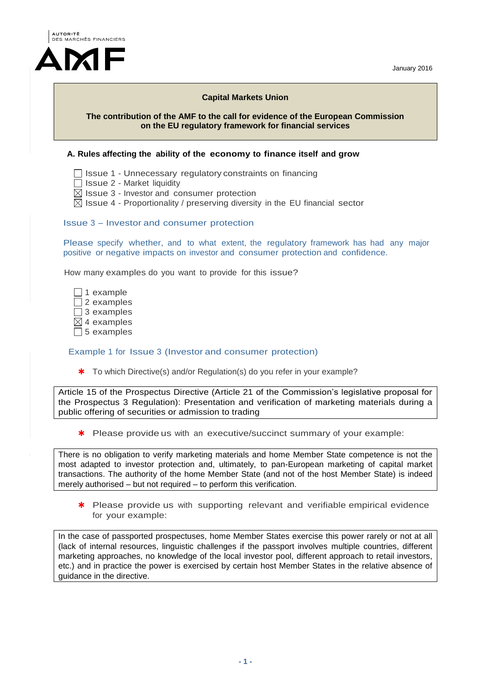



## **Capital Markets Union**

### **The contribution of the AMF to the call for evidence of the European Commission on the EU regulatory framework for financial services**

### **A. Rules affecting the ability of the economy to finance itself and grow**

 $\Box$  Issue 1 - Unnecessary regulatory constraints on financing

- $\Box$  Issue 2 Market liquidity
- $\boxtimes$  Issue 3 Investor and consumer protection
- $\boxtimes$  Issue 4 Proportionality / preserving diversity in the EU financial sector

### Issue 3 – Investor and consumer protection

Please specify whether, and to what extent, the regulatory framework has had any major positive or negative impacts on investor and consumer protection and confidence.

How many examples do you want to provide for this issue?

 $\Box$  1 example  $\Box$  2 examples  $\Box$  3 examples  $\boxtimes$  4 examples  $\Box$  5 examples

#### Example 1 for Issue 3 (Investor and consumer protection)

\* To which Directive(s) and/or Regulation(s) do you refer in your example?

Article 15 of the Prospectus Directive (Article 21 of the Commission's legislative proposal for the Prospectus 3 Regulation): Presentation and verification of marketing materials during a public offering of securities or admission to trading

\* Please provide us with an executive/succinct summary of your example:

There is no obligation to verify marketing materials and home Member State competence is not the most adapted to investor protection and, ultimately, to pan-European marketing of capital market transactions. The authority of the home Member State (and not of the host Member State) is indeed merely authorised – but not required – to perform this verification.

\* Please provide us with supporting relevant and verifiable empirical evidence for your example:

In the case of passported prospectuses, home Member States exercise this power rarely or not at all (lack of internal resources, linguistic challenges if the passport involves multiple countries, different marketing approaches, no knowledge of the local investor pool, different approach to retail investors, etc.) and in practice the power is exercised by certain host Member States in the relative absence of guidance in the directive.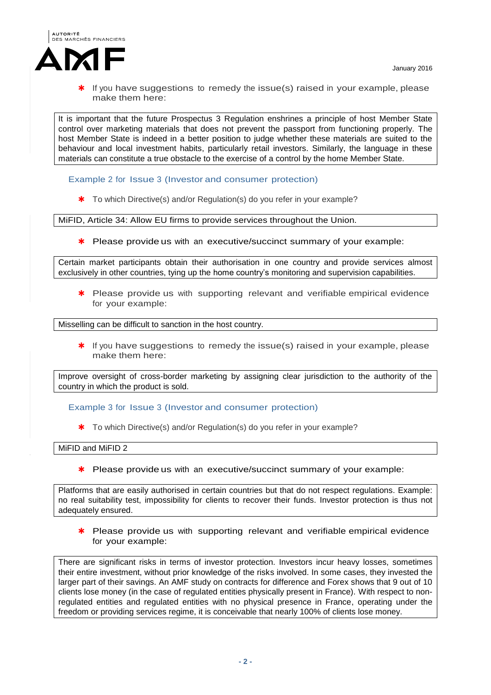

It is important that the future Prospectus 3 Regulation enshrines a principle of host Member State control over marketing materials that does not prevent the passport from functioning properly. The host Member State is indeed in a better position to judge whether these materials are suited to the behaviour and local investment habits, particularly retail investors. Similarly, the language in these materials can constitute a true obstacle to the exercise of a control by the home Member State.

Example 2 for Issue 3 (Investor and consumer protection)

\* To which Directive(s) and/or Regulation(s) do you refer in your example?

MiFID, Article 34: Allow EU firms to provide services throughout the Union.

\* Please provide us with an executive/succinct summary of your example:

Certain market participants obtain their authorisation in one country and provide services almost exclusively in other countries, tying up the home country's monitoring and supervision capabilities.

\* Please provide us with supporting relevant and verifiable empirical evidence for your example:

Misselling can be difficult to sanction in the host country.

 $*$  If you have suggestions to remedy the issue(s) raised in your example, please make them here:

Improve oversight of cross-border marketing by assigning clear jurisdiction to the authority of the country in which the product is sold.

Example 3 for Issue 3 (Investor and consumer protection)

\* To which Directive(s) and/or Regulation(s) do you refer in your example?

MiFID and MiFID 2

\* Please provide us with an executive/succinct summary of your example:

Platforms that are easily authorised in certain countries but that do not respect regulations. Example: no real suitability test, impossibility for clients to recover their funds. Investor protection is thus not adequately ensured.

\* Please provide us with supporting relevant and verifiable empirical evidence for your example:

There are significant risks in terms of investor protection. Investors incur heavy losses, sometimes their entire investment, without prior knowledge of the risks involved. In some cases, they invested the larger part of their savings. An AMF study on contracts for difference and Forex shows that 9 out of 10 clients lose money (in the case of regulated entities physically present in France). With respect to nonregulated entities and regulated entities with no physical presence in France, operating under the freedom or providing services regime, it is conceivable that nearly 100% of clients lose money.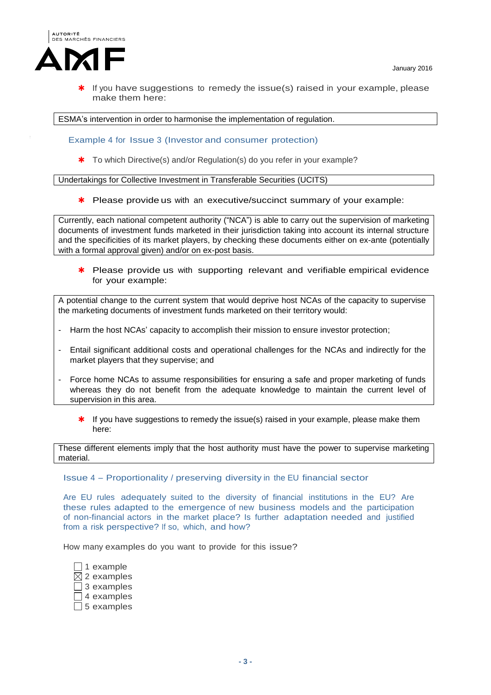

ESMA's intervention in order to harmonise the implementation of regulation.

Example 4 for Issue 3 (Investor and consumer protection)

\* To which Directive(s) and/or Regulation(s) do you refer in your example?

Undertakings for Collective Investment in Transferable Securities (UCITS)

\* Please provide us with an executive/succinct summary of your example:

Currently, each national competent authority ("NCA") is able to carry out the supervision of marketing documents of investment funds marketed in their jurisdiction taking into account its internal structure and the specificities of its market players, by checking these documents either on ex-ante (potentially with a formal approval given) and/or on ex-post basis.

\* Please provide us with supporting relevant and verifiable empirical evidence for your example:

A potential change to the current system that would deprive host NCAs of the capacity to supervise the marketing documents of investment funds marketed on their territory would:

- Harm the host NCAs' capacity to accomplish their mission to ensure investor protection;
- Entail significant additional costs and operational challenges for the NCAs and indirectly for the market players that they supervise; and
- Force home NCAs to assume responsibilities for ensuring a safe and proper marketing of funds whereas they do not benefit from the adequate knowledge to maintain the current level of supervision in this area.
	- \* If you have suggestions to remedy the issue(s) raised in your example, please make them here:

These different elements imply that the host authority must have the power to supervise marketing material.

Issue 4 – Proportionality / preserving diversity in the EU financial sector

Are EU rules adequately suited to the diversity of financial institutions in the EU? Are these rules adapted to the emergence of new business models and the participation of non-financial actors in the market place? Is further adaptation needed and justified from a risk perspective? If so, which, and how?

How many examples do you want to provide for this issue?

 $\Box$  1 example  $\boxtimes$  2 examples  $\Box$  3 examples  $\Box$  4 examples  $\Box$  5 examples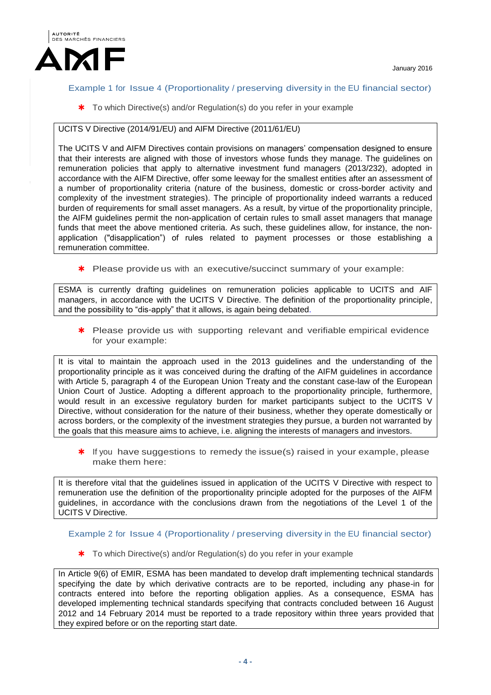



## Example 1 for Issue 4 (Proportionality / preserving diversity in the EU financial sector)

\* To which Directive(s) and/or Regulation(s) do you refer in your example

# UCITS V Directive (2014/91/EU) and AIFM Directive (2011/61/EU)

The UCITS V and AIFM Directives contain provisions on managers' compensation designed to ensure that their interests are aligned with those of investors whose funds they manage. The guidelines on remuneration policies that apply to alternative investment fund managers (2013/232), adopted in accordance with the AIFM Directive, offer some leeway for the smallest entities after an assessment of a number of proportionality criteria (nature of the business, domestic or cross-border activity and complexity of the investment strategies). The principle of proportionality indeed warrants a reduced burden of requirements for small asset managers. As a result, by virtue of the proportionality principle, the AIFM guidelines permit the non-application of certain rules to small asset managers that manage funds that meet the above mentioned criteria. As such, these guidelines allow, for instance, the nonapplication ("disapplication") of rules related to payment processes or those establishing a remuneration committee.

\* Please provide us with an executive/succinct summary of your example:

ESMA is currently drafting guidelines on remuneration policies applicable to UCITS and AIF managers, in accordance with the UCITS V Directive. The definition of the proportionality principle, and the possibility to "dis-apply" that it allows, is again being debated.

\* Please provide us with supporting relevant and verifiable empirical evidence for your example:

It is vital to maintain the approach used in the 2013 guidelines and the understanding of the proportionality principle as it was conceived during the drafting of the AIFM guidelines in accordance with Article 5, paragraph 4 of the European Union Treaty and the constant case-law of the European Union Court of Justice. Adopting a different approach to the proportionality principle, furthermore, would result in an excessive regulatory burden for market participants subject to the UCITS V Directive, without consideration for the nature of their business, whether they operate domestically or across borders, or the complexity of the investment strategies they pursue, a burden not warranted by the goals that this measure aims to achieve, i.e. aligning the interests of managers and investors.

\* If you have suggestions to remedy the issue(s) raised in your example, please make them here:

It is therefore vital that the guidelines issued in application of the UCITS V Directive with respect to remuneration use the definition of the proportionality principle adopted for the purposes of the AIFM guidelines, in accordance with the conclusions drawn from the negotiations of the Level 1 of the UCITS V Directive.

Example 2 for Issue 4 (Proportionality / preserving diversity in the EU financial sector)

\* To which Directive(s) and/or Regulation(s) do you refer in your example

In Article 9(6) of EMIR, ESMA has been mandated to develop draft implementing technical standards specifying the date by which derivative contracts are to be reported, including any phase-in for contracts entered into before the reporting obligation applies. As a consequence, ESMA has developed implementing technical standards specifying that contracts concluded between 16 August 2012 and 14 February 2014 must be reported to a trade repository within three years provided that they expired before or on the reporting start date.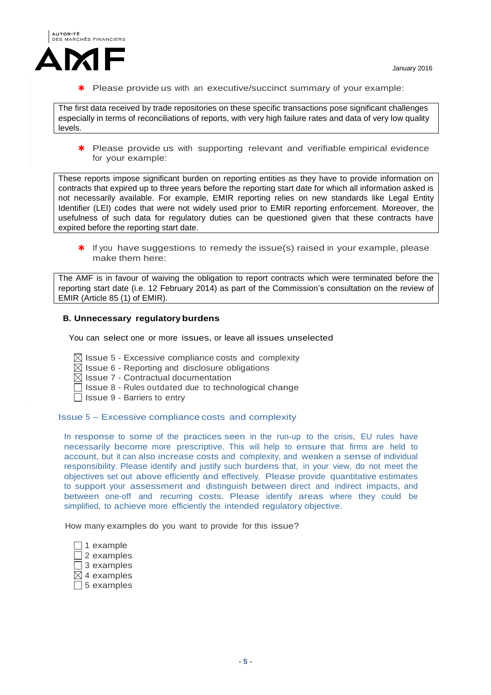

\* Please provide us with an executive/succinct summary of your example:

The first data received by trade repositories on these specific transactions pose significant challenges especially in terms of reconciliations of reports, with very high failure rates and data of very low quality levels.

\* Please provide us with supporting relevant and verifiable empirical evidence for your example:

These reports impose significant burden on reporting entities as they have to provide information on contracts that expired up to three years before the reporting start date for which all information asked is not necessarily available. For example, EMIR reporting relies on new standards like Legal Entity Identifier (LEI) codes that were not widely used prior to EMIR reporting enforcement. Moreover, the usefulness of such data for regulatory duties can be questioned given that these contracts have expired before the reporting start date.

\* If you have suggestions to remedy the issue(s) raised in your example, please make them here:

The AMF is in favour of waiving the obligation to report contracts which were terminated before the reporting start date (i.e. 12 February 2014) as part of the Commission's consultation on the review of EMIR (Article 85 (1) of EMIR).

### **B. Unnecessary regulatory burdens**

You can select one or more issues, or leave all issues unselected

- $\boxtimes$  Issue 5 Excessive compliance costs and complexity
- $\boxtimes$  Issue 6 Reporting and disclosure obligations
- $\boxtimes$  Issue 7 Contractual documentation
- $\Box$  Issue 8 Rules outdated due to technological change
- $\Box$  Issue 9 Barriers to entry

#### Issue 5 – Excessive compliance costs and complexity

In response to some of the practices seen in the run-up to the crisis, EU rules have necessarily become more prescriptive. This will help to ensure that firms are held to account, but it can also increase costs and complexity, and weaken a sense of individual responsibility. Please identify and justify such burdens that, in your view, do not meet the objectives set out above efficiently and effectively. Please provide quantitative estimates to support your assessment and distinguish between direct and indirect impacts, and between one-off and recurring costs. Please identify areas where they could be simplified, to achieve more efficiently the intended regulatory objective.

How many examples do you want to provide for this issue?

 $\Box$  1 example  $\Box$  2 examples  $\overline{\Box}$  3 examples  $\boxtimes$  4 examples

 $\Box$  5 examples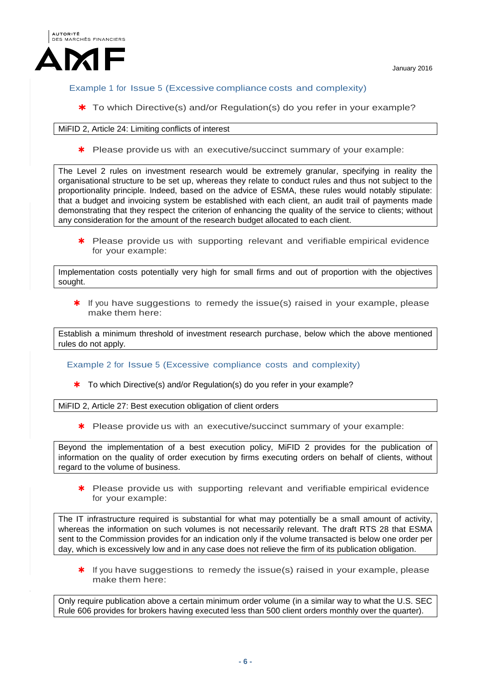



Example 1 for Issue 5 (Excessive compliance costs and complexity)

\* To which Directive(s) and/or Regulation(s) do you refer in your example?

## MiFID 2, Article 24: Limiting conflicts of interest

\* Please provide us with an executive/succinct summary of your example:

The Level 2 rules on investment research would be extremely granular, specifying in reality the organisational structure to be set up, whereas they relate to conduct rules and thus not subject to the proportionality principle. Indeed, based on the advice of ESMA, these rules would notably stipulate: that a budget and invoicing system be established with each client, an audit trail of payments made demonstrating that they respect the criterion of enhancing the quality of the service to clients; without any consideration for the amount of the research budget allocated to each client.

\* Please provide us with supporting relevant and verifiable empirical evidence for your example:

Implementation costs potentially very high for small firms and out of proportion with the objectives sought.

 $*$  If you have suggestions to remedy the issue(s) raised in your example, please make them here:

Establish a minimum threshold of investment research purchase, below which the above mentioned rules do not apply.

Example 2 for Issue 5 (Excessive compliance costs and complexity)

\* To which Directive(s) and/or Regulation(s) do you refer in your example?

MiFID 2, Article 27: Best execution obligation of client orders

\* Please provide us with an executive/succinct summary of your example:

Beyond the implementation of a best execution policy, MiFID 2 provides for the publication of information on the quality of order execution by firms executing orders on behalf of clients, without regard to the volume of business.

\* Please provide us with supporting relevant and verifiable empirical evidence for your example:

The IT infrastructure required is substantial for what may potentially be a small amount of activity, whereas the information on such volumes is not necessarily relevant. The draft RTS 28 that ESMA sent to the Commission provides for an indication only if the volume transacted is below one order per day, which is excessively low and in any case does not relieve the firm of its publication obligation.

\* If you have suggestions to remedy the issue(s) raised in your example, please make them here:

Only require publication above a certain minimum order volume (in a similar way to what the U.S. SEC Rule 606 provides for brokers having executed less than 500 client orders monthly over the quarter).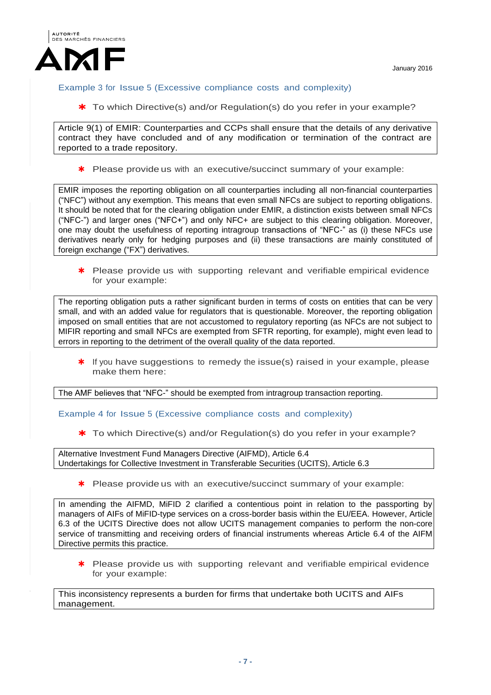

# Example 3 for Issue 5 (Excessive compliance costs and complexity)

\* To which Directive(s) and/or Regulation(s) do you refer in your example?

Article 9(1) of EMIR: Counterparties and CCPs shall ensure that the details of any derivative contract they have concluded and of any modification or termination of the contract are reported to a trade repository.

\* Please provide us with an executive/succinct summary of your example:

EMIR imposes the reporting obligation on all counterparties including all non-financial counterparties ("NFC") without any exemption. This means that even small NFCs are subject to reporting obligations. It should be noted that for the clearing obligation under EMIR, a distinction exists between small NFCs ("NFC-") and larger ones ("NFC+") and only NFC+ are subject to this clearing obligation. Moreover, one may doubt the usefulness of reporting intragroup transactions of "NFC-" as (i) these NFCs use derivatives nearly only for hedging purposes and (ii) these transactions are mainly constituted of foreign exchange ("FX") derivatives.

\* Please provide us with supporting relevant and verifiable empirical evidence for your example:

The reporting obligation puts a rather significant burden in terms of costs on entities that can be very small, and with an added value for regulators that is questionable. Moreover, the reporting obligation imposed on small entities that are not accustomed to regulatory reporting (as NFCs are not subject to MIFIR reporting and small NFCs are exempted from SFTR reporting, for example), might even lead to errors in reporting to the detriment of the overall quality of the data reported.

\* If you have suggestions to remedy the issue(s) raised in your example, please make them here:

The AMF believes that "NFC-" should be exempted from intragroup transaction reporting.

Example 4 for Issue 5 (Excessive compliance costs and complexity)

\* To which Directive(s) and/or Regulation(s) do you refer in your example?

Alternative Investment Fund Managers Directive (AIFMD), Article 6.4 Undertakings for Collective Investment in Transferable Securities (UCITS), Article 6.3

\* Please provide us with an executive/succinct summary of your example:

In amending the AIFMD, MiFID 2 clarified a contentious point in relation to the passporting by managers of AIFs of MiFID-type services on a cross-border basis within the EU/EEA. However, Article 6.3 of the UCITS Directive does not allow UCITS management companies to perform the non-core service of transmitting and receiving orders of financial instruments whereas Article 6.4 of the AIFM Directive permits this practice.

\* Please provide us with supporting relevant and verifiable empirical evidence for your example:

This inconsistency represents a burden for firms that undertake both UCITS and AIFs management.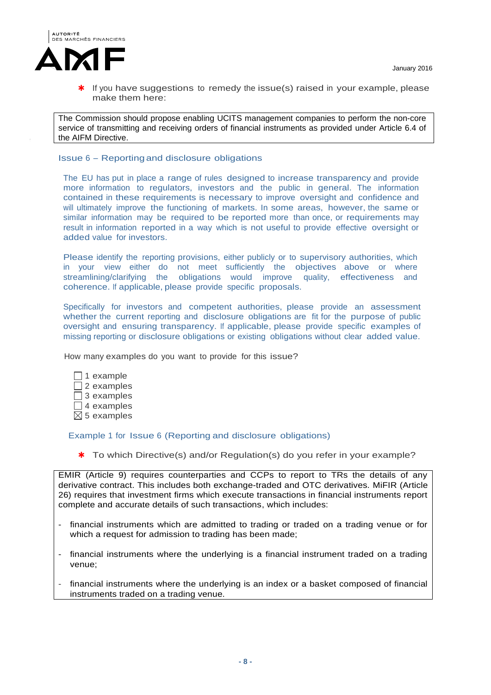

The Commission should propose enabling UCITS management companies to perform the non-core service of transmitting and receiving orders of financial instruments as provided under Article 6.4 of the AIFM Directive.

### Issue 6 – Reporting and disclosure obligations

The EU has put in place a range of rules designed to increase transparency and provide more information to regulators, investors and the public in general. The information contained in these requirements is necessary to improve oversight and confidence and will ultimately improve the functioning of markets. In some areas, however, the same or similar information may be required to be reported more than once, or requirements may result in information reported in a way which is not useful to provide effective oversight or added value for investors.

Please identify the reporting provisions, either publicly or to supervisory authorities, which in your view either do not meet sufficiently the objectives above or where streamlining/clarifying the obligations would improve quality, effectiveness and coherence. If applicable, please provide specific proposals.

Specifically for investors and competent authorities, please provide an assessment whether the current reporting and disclosure obligations are fit for the purpose of public oversight and ensuring transparency. If applicable, please provide specific examples of missing reporting or disclosure obligations or existing obligations without clear added value.

How many examples do you want to provide for this issue?

 $\Box$  1 example  $\Box$  2 examples  $\Box$  3 examples  $\Box$  4 examples  $\boxtimes$  5 examples

Example 1 for Issue 6 (Reporting and disclosure obligations)

\* To which Directive(s) and/or Regulation(s) do you refer in your example?

EMIR (Article 9) requires counterparties and CCPs to report to TRs the details of any derivative contract. This includes both exchange-traded and OTC derivatives. MiFIR (Article 26) requires that investment firms which execute transactions in financial instruments report complete and accurate details of such transactions, which includes:

- financial instruments which are admitted to trading or traded on a trading venue or for which a request for admission to trading has been made;
- financial instruments where the underlying is a financial instrument traded on a trading venue;
- financial instruments where the underlying is an index or a basket composed of financial instruments traded on a trading venue.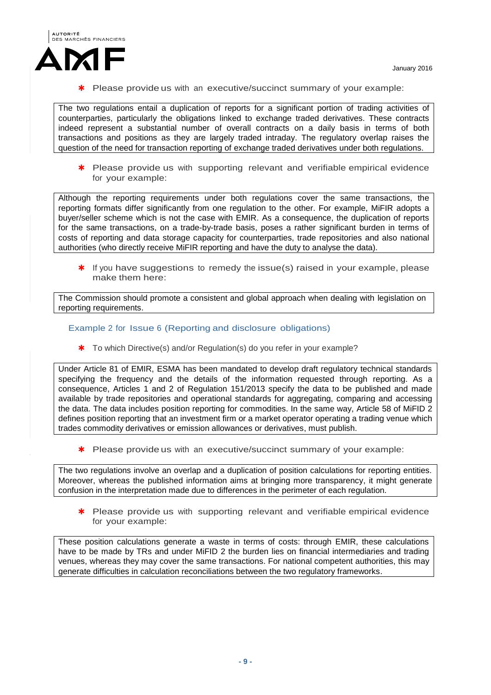

Please provide us with an executive/succinct summary of your example:

The two regulations entail a duplication of reports for a significant portion of trading activities of counterparties, particularly the obligations linked to exchange traded derivatives. These contracts indeed represent a substantial number of overall contracts on a daily basis in terms of both transactions and positions as they are largely traded intraday. The regulatory overlap raises the question of the need for transaction reporting of exchange traded derivatives under both regulations.

\* Please provide us with supporting relevant and verifiable empirical evidence for your example:

Although the reporting requirements under both regulations cover the same transactions, the reporting formats differ significantly from one regulation to the other. For example, MiFIR adopts a buyer/seller scheme which is not the case with EMIR. As a consequence, the duplication of reports for the same transactions, on a trade-by-trade basis, poses a rather significant burden in terms of costs of reporting and data storage capacity for counterparties, trade repositories and also national authorities (who directly receive MiFIR reporting and have the duty to analyse the data).

\* If you have suggestions to remedy the issue(s) raised in your example, please make them here:

The Commission should promote a consistent and global approach when dealing with legislation on reporting requirements.

## Example 2 for Issue 6 (Reporting and disclosure obligations)

\* To which Directive(s) and/or Regulation(s) do you refer in your example?

Under Article 81 of EMIR, ESMA has been mandated to develop draft regulatory technical standards specifying the frequency and the details of the information requested through reporting. As a consequence, Articles 1 and 2 of Regulation 151/2013 specify the data to be published and made available by trade repositories and operational standards for aggregating, comparing and accessing the data. The data includes position reporting for commodities. In the same way, Article 58 of MiFID 2 defines position reporting that an investment firm or a market operator operating a trading venue which trades commodity derivatives or emission allowances or derivatives, must publish.

\* Please provide us with an executive/succinct summary of your example:

The two regulations involve an overlap and a duplication of position calculations for reporting entities. Moreover, whereas the published information aims at bringing more transparency, it might generate confusion in the interpretation made due to differences in the perimeter of each regulation.

\* Please provide us with supporting relevant and verifiable empirical evidence for your example:

These position calculations generate a waste in terms of costs: through EMIR, these calculations have to be made by TRs and under MiFID 2 the burden lies on financial intermediaries and trading venues, whereas they may cover the same transactions. For national competent authorities, this may generate difficulties in calculation reconciliations between the two regulatory frameworks.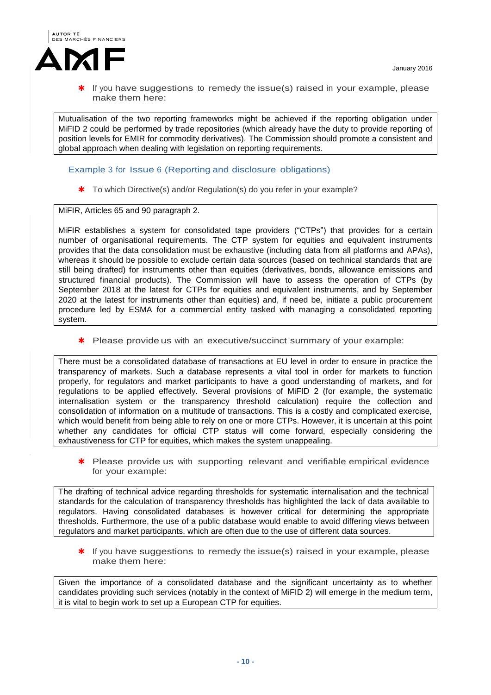

Mutualisation of the two reporting frameworks might be achieved if the reporting obligation under MiFID 2 could be performed by trade repositories (which already have the duty to provide reporting of position levels for EMIR for commodity derivatives). The Commission should promote a consistent and global approach when dealing with legislation on reporting requirements.

## Example 3 for Issue 6 (Reporting and disclosure obligations)

\* To which Directive(s) and/or Regulation(s) do you refer in your example?

MiFIR, Articles 65 and 90 paragraph 2.

MiFIR establishes a system for consolidated tape providers ("CTPs") that provides for a certain number of organisational requirements. The CTP system for equities and equivalent instruments provides that the data consolidation must be exhaustive (including data from all platforms and APAs), whereas it should be possible to exclude certain data sources (based on technical standards that are still being drafted) for instruments other than equities (derivatives, bonds, allowance emissions and structured financial products). The Commission will have to assess the operation of CTPs (by September 2018 at the latest for CTPs for equities and equivalent instruments, and by September 2020 at the latest for instruments other than equities) and, if need be, initiate a public procurement procedure led by ESMA for a commercial entity tasked with managing a consolidated reporting system.

\* Please provide us with an executive/succinct summary of your example:

There must be a consolidated database of transactions at EU level in order to ensure in practice the transparency of markets. Such a database represents a vital tool in order for markets to function properly, for regulators and market participants to have a good understanding of markets, and for regulations to be applied effectively. Several provisions of MiFID 2 (for example, the systematic internalisation system or the transparency threshold calculation) require the collection and consolidation of information on a multitude of transactions. This is a costly and complicated exercise, which would benefit from being able to rely on one or more CTPs. However, it is uncertain at this point whether any candidates for official CTP status will come forward, especially considering the exhaustiveness for CTP for equities, which makes the system unappealing.

\* Please provide us with supporting relevant and verifiable empirical evidence for your example:

The drafting of technical advice regarding thresholds for systematic internalisation and the technical standards for the calculation of transparency thresholds has highlighted the lack of data available to regulators. Having consolidated databases is however critical for determining the appropriate thresholds. Furthermore, the use of a public database would enable to avoid differing views between regulators and market participants, which are often due to the use of different data sources.

 $*$  If you have suggestions to remedy the issue(s) raised in your example, please make them here:

Given the importance of a consolidated database and the significant uncertainty as to whether candidates providing such services (notably in the context of MiFID 2) will emerge in the medium term, it is vital to begin work to set up a European CTP for equities.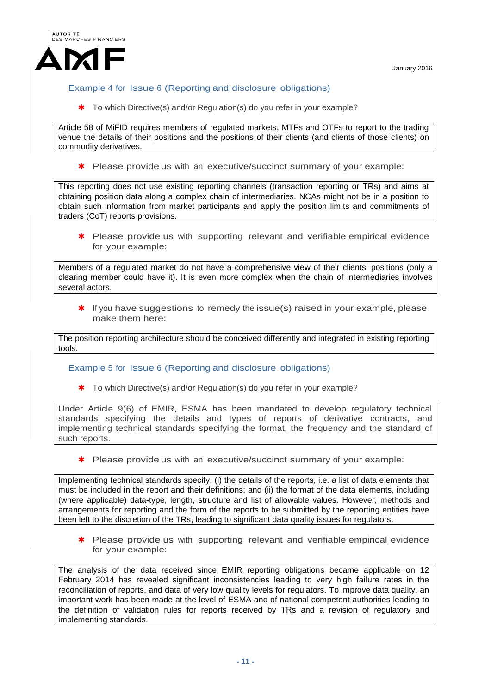

# Example 4 for Issue 6 (Reporting and disclosure obligations)

\* To which Directive(s) and/or Regulation(s) do you refer in your example?

Article 58 of MiFID requires members of regulated markets, MTFs and OTFs to report to the trading venue the details of their positions and the positions of their clients (and clients of those clients) on commodity derivatives.

\* Please provide us with an executive/succinct summary of your example:

This reporting does not use existing reporting channels (transaction reporting or TRs) and aims at obtaining position data along a complex chain of intermediaries. NCAs might not be in a position to obtain such information from market participants and apply the position limits and commitments of traders (CoT) reports provisions.

\* Please provide us with supporting relevant and verifiable empirical evidence for your example:

Members of a regulated market do not have a comprehensive view of their clients' positions (only a clearing member could have it). It is even more complex when the chain of intermediaries involves several actors.

 $*$  If you have suggestions to remedy the issue(s) raised in your example, please make them here:

The position reporting architecture should be conceived differently and integrated in existing reporting tools.

## Example 5 for Issue 6 (Reporting and disclosure obligations)

\* To which Directive(s) and/or Regulation(s) do you refer in your example?

Under Article 9(6) of EMIR, ESMA has been mandated to develop regulatory technical standards specifying the details and types of reports of derivative contracts, and implementing technical standards specifying the format, the frequency and the standard of such reports.

\* Please provide us with an executive/succinct summary of your example:

Implementing technical standards specify: (i) the details of the reports, i.e. a list of data elements that must be included in the report and their definitions; and (ii) the format of the data elements, including (where applicable) data-type, length, structure and list of allowable values. However, methods and arrangements for reporting and the form of the reports to be submitted by the reporting entities have been left to the discretion of the TRs, leading to significant data quality issues for regulators.

\* Please provide us with supporting relevant and verifiable empirical evidence for your example:

The analysis of the data received since EMIR reporting obligations became applicable on 12 February 2014 has revealed significant inconsistencies leading to very high failure rates in the reconciliation of reports, and data of very low quality levels for regulators. To improve data quality, an important work has been made at the level of ESMA and of national competent authorities leading to the definition of validation rules for reports received by TRs and a revision of regulatory and implementing standards.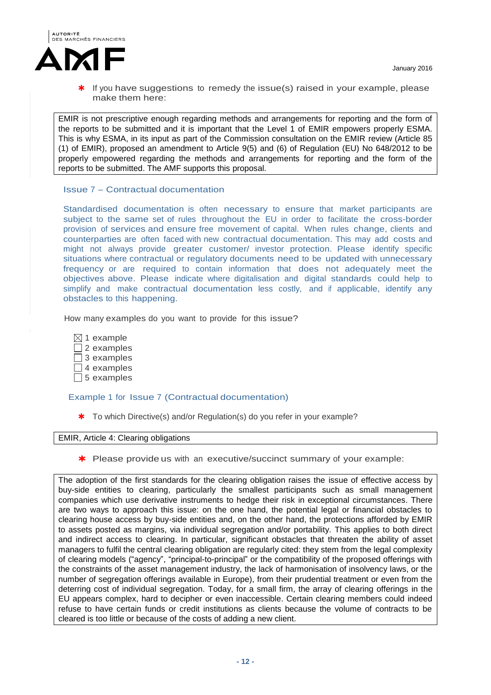

 If you have suggestions to remedy the issue(s) raised in your example, please make them here:

EMIR is not prescriptive enough regarding methods and arrangements for reporting and the form of the reports to be submitted and it is important that the Level 1 of EMIR empowers properly ESMA. This is why ESMA, in its input as part of the Commission consultation on the EMIR review (Article 85 (1) of EMIR), proposed an amendment to Article 9(5) and (6) of Regulation (EU) No 648/2012 to be properly empowered regarding the methods and arrangements for reporting and the form of the reports to be submitted. The AMF supports this proposal.

## Issue 7 – Contractual documentation

Standardised documentation is often necessary to ensure that market participants are subject to the same set of rules throughout the EU in order to facilitate the cross-border provision of services and ensure free movement of capital. When rules change, clients and counterparties are often faced with new contractual documentation. This may add costs and might not always provide greater customer/ investor protection. Please identify specific situations where contractual or regulatory documents need to be updated with unnecessary frequency or are required to contain information that does not adequately meet the objectives above. Please indicate where digitalisation and digital standards could help to simplify and make contractual documentation less costly, and if applicable, identify any obstacles to this happening.

How many examples do you want to provide for this issue?

- $\boxtimes$  1 example  $\Box$  2 examples  $\Box$  3 examples  $\Box$  4 examples
- $\Box$  5 examples

#### Example 1 for Issue 7 (Contractual documentation)

\* To which Directive(s) and/or Regulation(s) do you refer in your example?

#### EMIR, Article 4: Clearing obligations

\* Please provide us with an executive/succinct summary of your example:

The adoption of the first standards for the clearing obligation raises the issue of effective access by buy-side entities to clearing, particularly the smallest participants such as small management companies which use derivative instruments to hedge their risk in exceptional circumstances. There are two ways to approach this issue: on the one hand, the potential legal or financial obstacles to clearing house access by buy-side entities and, on the other hand, the protections afforded by EMIR to assets posted as margins, via individual segregation and/or portability. This applies to both direct and indirect access to clearing. In particular, significant obstacles that threaten the ability of asset managers to fulfil the central clearing obligation are regularly cited: they stem from the legal complexity of clearing models ("agency", "principal-to-principal" or the compatibility of the proposed offerings with the constraints of the asset management industry, the lack of harmonisation of insolvency laws, or the number of segregation offerings available in Europe), from their prudential treatment or even from the deterring cost of individual segregation. Today, for a small firm, the array of clearing offerings in the EU appears complex, hard to decipher or even inaccessible. Certain clearing members could indeed refuse to have certain funds or credit institutions as clients because the volume of contracts to be cleared is too little or because of the costs of adding a new client.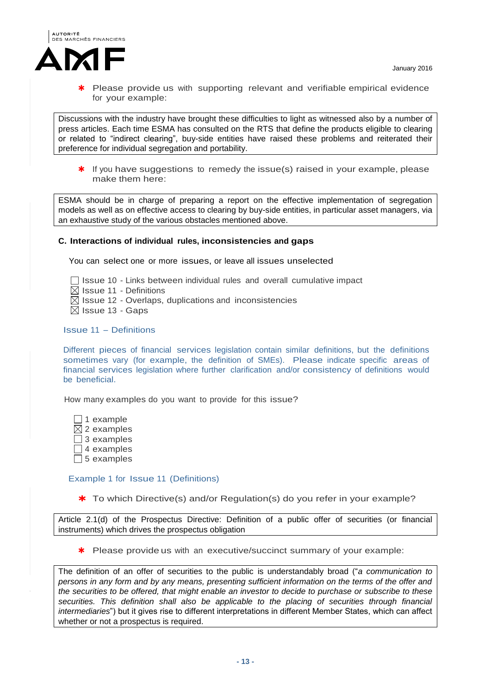

 Please provide us with supporting relevant and verifiable empirical evidence for your example:

Discussions with the industry have brought these difficulties to light as witnessed also by a number of press articles. Each time ESMA has consulted on the RTS that define the products eligible to clearing or related to "indirect clearing", buy-side entities have raised these problems and reiterated their preference for individual segregation and portability.

 $*$  If you have suggestions to remedy the issue(s) raised in your example, please make them here:

ESMA should be in charge of preparing a report on the effective implementation of segregation models as well as on effective access to clearing by buy-side entities, in particular asset managers, via an exhaustive study of the various obstacles mentioned above.

#### **C. Interactions of individual rules, inconsistencies and gaps**

You can select one or more issues, or leave all issues unselected

- $\Box$  Issue 10 Links between individual rules and overall cumulative impact
- $\boxtimes$  Issue 11 Definitions
- $\boxtimes$  Issue 12 Overlaps, duplications and inconsistencies
- $\boxtimes$  Issue 13 Gaps

#### Issue 11 – Definitions

Different pieces of financial services legislation contain similar definitions, but the definitions sometimes vary (for example, the definition of SMEs). Please indicate specific areas of financial services legislation where further clarification and/or consistency of definitions would be beneficial.

How many examples do you want to provide for this issue?

 $\Box$  1 example  $\boxtimes$  2 examples  $\Box$  3 examples □ 4 examples  $\Box$  5 examples

### Example 1 for Issue 11 (Definitions)

\* To which Directive(s) and/or Regulation(s) do you refer in your example?

Article 2.1(d) of the Prospectus Directive: Definition of a public offer of securities (or financial instruments) which drives the prospectus obligation

\* Please provide us with an executive/succinct summary of your example:

The definition of an offer of securities to the public is understandably broad ("*a communication to persons in any form and by any means, presenting sufficient information on the terms of the offer and the securities to be offered, that might enable an investor to decide to purchase or subscribe to these securities. This definition shall also be applicable to the placing of securities through financial intermediaries*") but it gives rise to different interpretations in different Member States, which can affect whether or not a prospectus is required.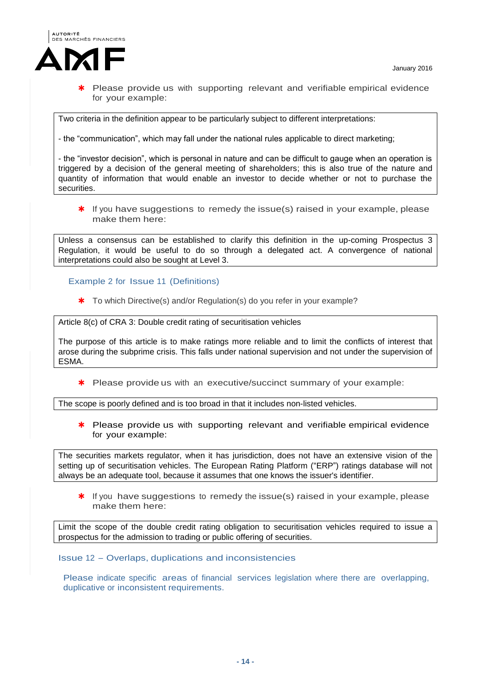

 Please provide us with supporting relevant and verifiable empirical evidence for your example:

Two criteria in the definition appear to be particularly subject to different interpretations:

- the "communication", which may fall under the national rules applicable to direct marketing;

- the "investor decision", which is personal in nature and can be difficult to gauge when an operation is triggered by a decision of the general meeting of shareholders; this is also true of the nature and quantity of information that would enable an investor to decide whether or not to purchase the securities.

\* If you have suggestions to remedy the issue(s) raised in your example, please make them here:

Unless a consensus can be established to clarify this definition in the up-coming Prospectus 3 Regulation, it would be useful to do so through a delegated act. A convergence of national interpretations could also be sought at Level 3.

Example 2 for Issue 11 (Definitions)

\* To which Directive(s) and/or Regulation(s) do you refer in your example?

Article 8(c) of CRA 3: Double credit rating of securitisation vehicles

The purpose of this article is to make ratings more reliable and to limit the conflicts of interest that arose during the subprime crisis. This falls under national supervision and not under the supervision of ESMA.

\* Please provide us with an executive/succinct summary of your example:

The scope is poorly defined and is too broad in that it includes non-listed vehicles.

\* Please provide us with supporting relevant and verifiable empirical evidence for your example:

The securities markets regulator, when it has jurisdiction, does not have an extensive vision of the setting up of securitisation vehicles. The European Rating Platform ("ERP") ratings database will not always be an adequate tool, because it assumes that one knows the issuer's identifier.

 $*$  If you have suggestions to remedy the issue(s) raised in your example, please make them here:

Limit the scope of the double credit rating obligation to securitisation vehicles required to issue a prospectus for the admission to trading or public offering of securities.

Issue 12 – Overlaps, duplications and inconsistencies

Please indicate specific areas of financial services legislation where there are overlapping, duplicative or inconsistent requirements.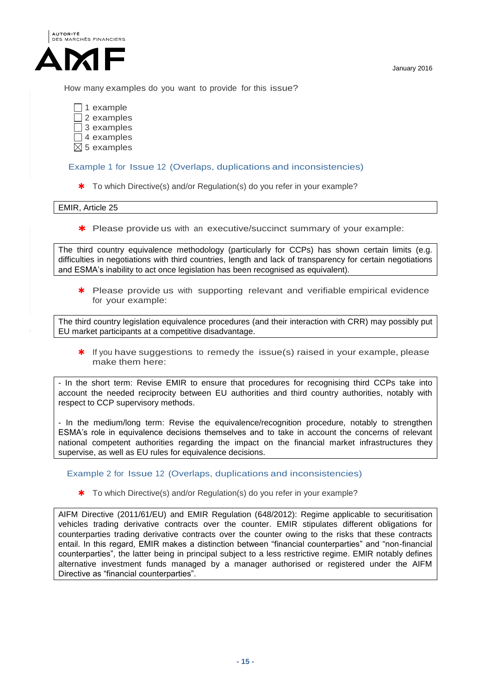

How many examples do you want to provide for this issue?

- $\Box$  1 example  $\Box$  2 examples 3 examples  $\Box$  4 examples
- $\boxtimes$  5 examples

## Example 1 for Issue 12 (Overlaps, duplications and inconsistencies)

\* To which Directive(s) and/or Regulation(s) do you refer in your example?

EMIR, Article 25

\* Please provide us with an executive/succinct summary of your example:

The third country equivalence methodology (particularly for CCPs) has shown certain limits (e.g. difficulties in negotiations with third countries, length and lack of transparency for certain negotiations and ESMA's inability to act once legislation has been recognised as equivalent).

\* Please provide us with supporting relevant and verifiable empirical evidence for your example:

The third country legislation equivalence procedures (and their interaction with CRR) may possibly put EU market participants at a competitive disadvantage.

\* If you have suggestions to remedy the issue(s) raised in your example, please make them here:

- In the short term: Revise EMIR to ensure that procedures for recognising third CCPs take into account the needed reciprocity between EU authorities and third country authorities, notably with respect to CCP supervisory methods.

- In the medium/long term: Revise the equivalence/recognition procedure, notably to strengthen ESMA's role in equivalence decisions themselves and to take in account the concerns of relevant national competent authorities regarding the impact on the financial market infrastructures they supervise, as well as EU rules for equivalence decisions.

Example 2 for Issue 12 (Overlaps, duplications and inconsistencies)

\* To which Directive(s) and/or Regulation(s) do you refer in your example?

AIFM Directive (2011/61/EU) and EMIR Regulation (648/2012): Regime applicable to securitisation vehicles trading derivative contracts over the counter. EMIR stipulates different obligations for counterparties trading derivative contracts over the counter owing to the risks that these contracts entail. In this regard, EMIR makes a distinction between "financial counterparties" and "non-financial counterparties", the latter being in principal subject to a less restrictive regime. EMIR notably defines alternative investment funds managed by a manager authorised or registered under the AIFM Directive as "financial counterparties".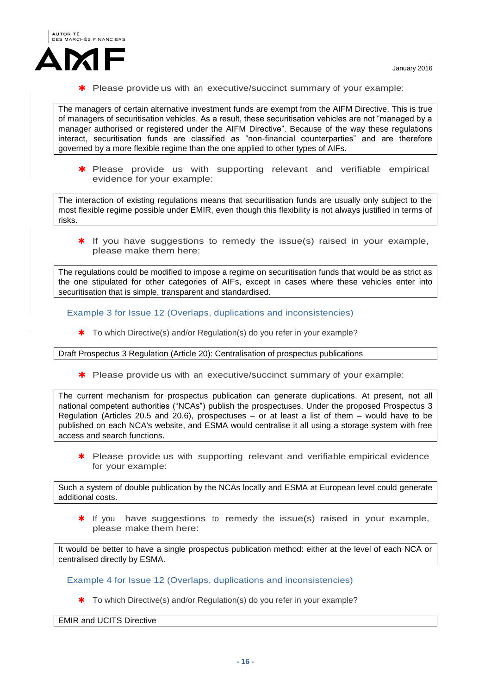

\* Please provide us with an executive/succinct summary of your example:

The managers of certain alternative investment funds are exempt from the AIFM Directive. This is true of managers of securitisation vehicles. As a result, these securitisation vehicles are not "managed by a manager authorised or registered under the AIFM Directive". Because of the way these regulations interact, securitisation funds are classified as "non-financial counterparties" and are therefore governed by a more flexible regime than the one applied to other types of AIFs.

\* Please provide us with supporting relevant and verifiable empirical evidence for your example:

The interaction of existing regulations means that securitisation funds are usually only subject to the most flexible regime possible under EMIR, even though this flexibility is not always justified in terms of risks.

 $*$  If you have suggestions to remedy the issue(s) raised in your example, please make them here:

The regulations could be modified to impose a regime on securitisation funds that would be as strict as the one stipulated for other categories of AIFs, except in cases where these vehicles enter into securitisation that is simple, transparent and standardised.

Example 3 for Issue 12 (Overlaps, duplications and inconsistencies)

\* To which Directive(s) and/or Regulation(s) do you refer in your example?

Draft Prospectus 3 Regulation (Article 20): Centralisation of prospectus publications

\* Please provide us with an executive/succinct summary of your example:

The current mechanism for prospectus publication can generate duplications. At present, not all national competent authorities ("NCAs") publish the prospectuses. Under the proposed Prospectus 3 Regulation (Articles 20.5 and 20.6), prospectuses – or at least a list of them – would have to be published on each NCA's website, and ESMA would centralise it all using a storage system with free access and search functions.

\* Please provide us with supporting relevant and verifiable empirical evidence for your example:

Such a system of double publication by the NCAs locally and ESMA at European level could generate additional costs.

 $*$  If you have suggestions to remedy the issue(s) raised in your example, please make them here:

It would be better to have a single prospectus publication method: either at the level of each NCA or centralised directly by ESMA.

Example 4 for Issue 12 (Overlaps, duplications and inconsistencies)

\* To which Directive(s) and/or Regulation(s) do you refer in your example?

EMIR and UCITS Directive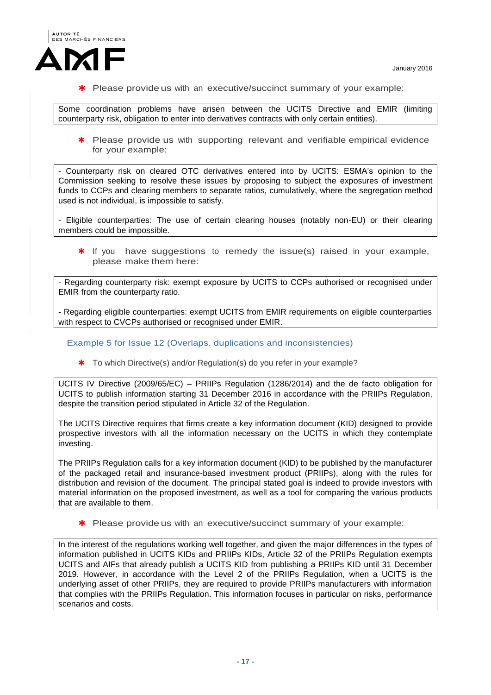

\* Please provide us with an executive/succinct summary of your example:

Some coordination problems have arisen between the UCITS Directive and EMIR (limiting counterparty risk, obligation to enter into derivatives contracts with only certain entities).

\* Please provide us with supporting relevant and verifiable empirical evidence for your example:

- Counterparty risk on cleared OTC derivatives entered into by UCITS: ESMA's opinion to the Commission seeking to resolve these issues by proposing to subject the exposures of investment funds to CCPs and clearing members to separate ratios, cumulatively, where the segregation method used is not individual, is impossible to satisfy.

- Eligible counterparties: The use of certain clearing houses (notably non-EU) or their clearing members could be impossible.

\* If you have suggestions to remedy the issue(s) raised in your example, please make them here:

- Regarding counterparty risk: exempt exposure by UCITS to CCPs authorised or recognised under EMIR from the counterparty ratio.

- Regarding eligible counterparties: exempt UCITS from EMIR requirements on eligible counterparties with respect to CVCPs authorised or recognised under EMIR.

Example 5 for Issue 12 (Overlaps, duplications and inconsistencies)

\* To which Directive(s) and/or Regulation(s) do you refer in your example?

UCITS IV Directive (2009/65/EC) – PRIIPs Regulation (1286/2014) and the de facto obligation for UCITS to publish information starting 31 December 2016 in accordance with the PRIIPs Regulation, despite the transition period stipulated in Article 32 of the Regulation.

The UCITS Directive requires that firms create a key information document (KID) designed to provide prospective investors with all the information necessary on the UCITS in which they contemplate investing.

The PRIIPs Regulation calls for a key information document (KID) to be published by the manufacturer of the packaged retail and insurance-based investment product (PRIIPs), along with the rules for distribution and revision of the document. The principal stated goal is indeed to provide investors with material information on the proposed investment, as well as a tool for comparing the various products that are available to them.

\* Please provide us with an executive/succinct summary of your example:

In the interest of the regulations working well together, and given the major differences in the types of information published in UCITS KIDs and PRIIPs KIDs, Article 32 of the PRIIPs Regulation exempts UCITS and AIFs that already publish a UCITS KID from publishing a PRIIPs KID until 31 December 2019. However, in accordance with the Level 2 of the PRIIPs Regulation, when a UCITS is the underlying asset of other PRIIPs, they are required to provide PRIIPs manufacturers with information that complies with the PRIIPs Regulation. This information focuses in particular on risks, performance scenarios and costs.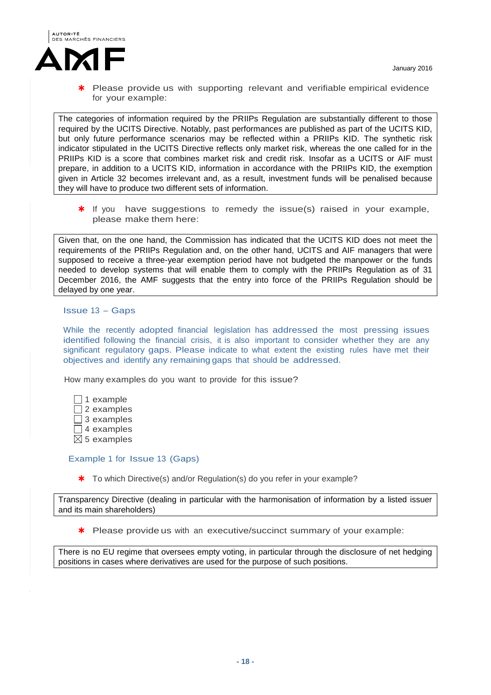

 Please provide us with supporting relevant and verifiable empirical evidence for your example:

The categories of information required by the PRIIPs Regulation are substantially different to those required by the UCITS Directive. Notably, past performances are published as part of the UCITS KID, but only future performance scenarios may be reflected within a PRIIPs KID. The synthetic risk indicator stipulated in the UCITS Directive reflects only market risk, whereas the one called for in the PRIIPs KID is a score that combines market risk and credit risk. Insofar as a UCITS or AIF must prepare, in addition to a UCITS KID, information in accordance with the PRIIPs KID, the exemption given in Article 32 becomes irrelevant and, as a result, investment funds will be penalised because they will have to produce two different sets of information.

 $*$  If you have suggestions to remedy the issue(s) raised in your example, please make them here:

Given that, on the one hand, the Commission has indicated that the UCITS KID does not meet the requirements of the PRIIPs Regulation and, on the other hand, UCITS and AIF managers that were supposed to receive a three-year exemption period have not budgeted the manpower or the funds needed to develop systems that will enable them to comply with the PRIIPs Regulation as of 31 December 2016, the AMF suggests that the entry into force of the PRIIPs Regulation should be delayed by one year.

### Issue 13 – Gaps

While the recently adopted financial legislation has addressed the most pressing issues identified following the financial crisis, it is also important to consider whether they are any significant regulatory gaps. Please indicate to what extent the existing rules have met their objectives and identify any remaining gaps that should be addressed.

How many examples do you want to provide for this issue?

 $\Box$  1 example  $\Box$  2 examples  $\Box$  3 examples  $\Box$  4 examples  $\boxtimes$  5 examples

## Example 1 for Issue 13 (Gaps)

\* To which Directive(s) and/or Regulation(s) do you refer in your example?

Transparency Directive (dealing in particular with the harmonisation of information by a listed issuer and its main shareholders)

\* Please provide us with an executive/succinct summary of your example:

There is no EU regime that oversees empty voting, in particular through the disclosure of net hedging positions in cases where derivatives are used for the purpose of such positions.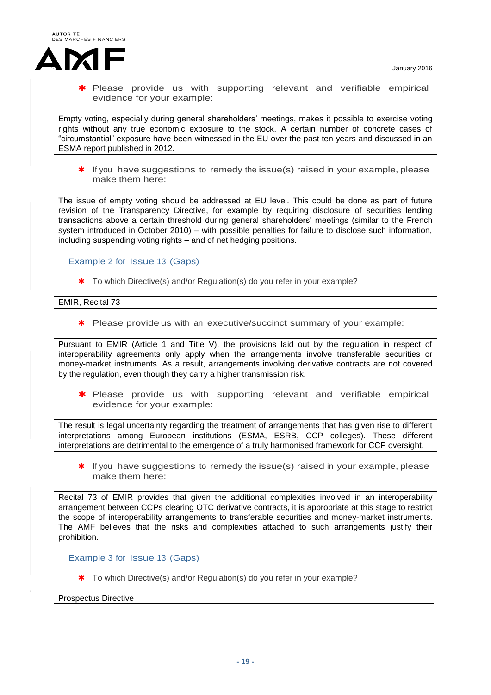

\* Please provide us with supporting relevant and verifiable empirical evidence for your example:

Empty voting, especially during general shareholders' meetings, makes it possible to exercise voting rights without any true economic exposure to the stock. A certain number of concrete cases of "circumstantial" exposure have been witnessed in the EU over the past ten years and discussed in an ESMA report published in 2012.

 $*$  If you have suggestions to remedy the issue(s) raised in your example, please make them here:

The issue of empty voting should be addressed at EU level. This could be done as part of future revision of the Transparency Directive, for example by requiring disclosure of securities lending transactions above a certain threshold during general shareholders' meetings (similar to the French system introduced in October 2010) – with possible penalties for failure to disclose such information, including suspending voting rights – and of net hedging positions.

### Example 2 for Issue 13 (Gaps)

\* To which Directive(s) and/or Regulation(s) do you refer in your example?

EMIR, Recital 73

\* Please provide us with an executive/succinct summary of your example:

Pursuant to EMIR (Article 1 and Title V), the provisions laid out by the regulation in respect of interoperability agreements only apply when the arrangements involve transferable securities or money-market instruments. As a result, arrangements involving derivative contracts are not covered by the regulation, even though they carry a higher transmission risk.

\* Please provide us with supporting relevant and verifiable empirical evidence for your example:

The result is legal uncertainty regarding the treatment of arrangements that has given rise to different interpretations among European institutions (ESMA, ESRB, CCP colleges). These different interpretations are detrimental to the emergence of a truly harmonised framework for CCP oversight.

 $*$  If you have suggestions to remedy the issue(s) raised in your example, please make them here:

Recital 73 of EMIR provides that given the additional complexities involved in an interoperability arrangement between CCPs clearing OTC derivative contracts, it is appropriate at this stage to restrict the scope of interoperability arrangements to transferable securities and money-market instruments. The AMF believes that the risks and complexities attached to such arrangements justify their prohibition.

Example 3 for Issue 13 (Gaps)

\* To which Directive(s) and/or Regulation(s) do you refer in your example?

Prospectus Directive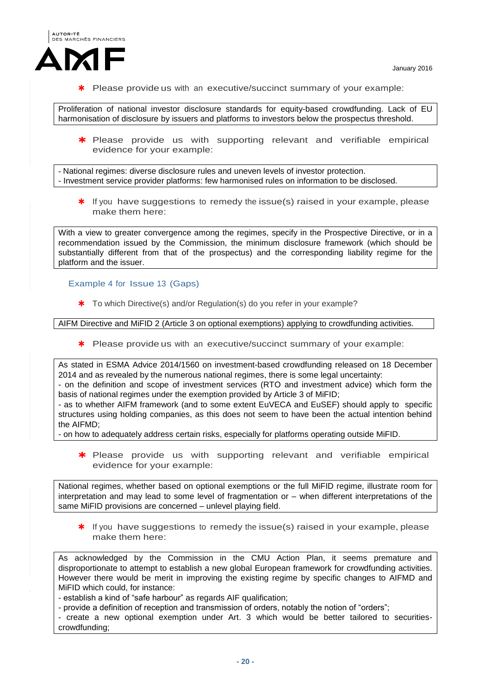

\* Please provide us with an executive/succinct summary of your example:

Proliferation of national investor disclosure standards for equity-based crowdfunding. Lack of EU harmonisation of disclosure by issuers and platforms to investors below the prospectus threshold.

\* Please provide us with supporting relevant and verifiable empirical evidence for your example:

- National regimes: diverse disclosure rules and uneven levels of investor protection. - Investment service provider platforms: few harmonised rules on information to be disclosed.

 $*$  If you have suggestions to remedy the issue(s) raised in your example, please make them here:

With a view to greater convergence among the regimes, specify in the Prospective Directive, or in a recommendation issued by the Commission, the minimum disclosure framework (which should be substantially different from that of the prospectus) and the corresponding liability regime for the platform and the issuer.

Example 4 for Issue 13 (Gaps)

\* To which Directive(s) and/or Regulation(s) do you refer in your example?

AIFM Directive and MiFID 2 (Article 3 on optional exemptions) applying to crowdfunding activities.

\* Please provide us with an executive/succinct summary of your example:

As stated in ESMA Advice 2014/1560 on investment-based crowdfunding released on 18 December 2014 and as revealed by the numerous national regimes, there is some legal uncertainty:

- on the definition and scope of investment services (RTO and investment advice) which form the basis of national regimes under the exemption provided by Article 3 of MiFID;

- as to whether AIFM framework (and to some extent EuVECA and EuSEF) should apply to specific structures using holding companies, as this does not seem to have been the actual intention behind the AIFMD;

- on how to adequately address certain risks, especially for platforms operating outside MiFID.

\* Please provide us with supporting relevant and verifiable empirical evidence for your example:

National regimes, whether based on optional exemptions or the full MiFID regime, illustrate room for interpretation and may lead to some level of fragmentation or – when different interpretations of the same MiFID provisions are concerned – unlevel playing field.

\* If you have suggestions to remedy the issue(s) raised in your example, please make them here:

As acknowledged by the Commission in the CMU Action Plan, it seems premature and disproportionate to attempt to establish a new global European framework for crowdfunding activities. However there would be merit in improving the existing regime by specific changes to AIFMD and MiFID which could, for instance:

- establish a kind of "safe harbour" as regards AIF qualification;

- provide a definition of reception and transmission of orders, notably the notion of "orders";

- create a new optional exemption under Art. 3 which would be better tailored to securitiescrowdfunding;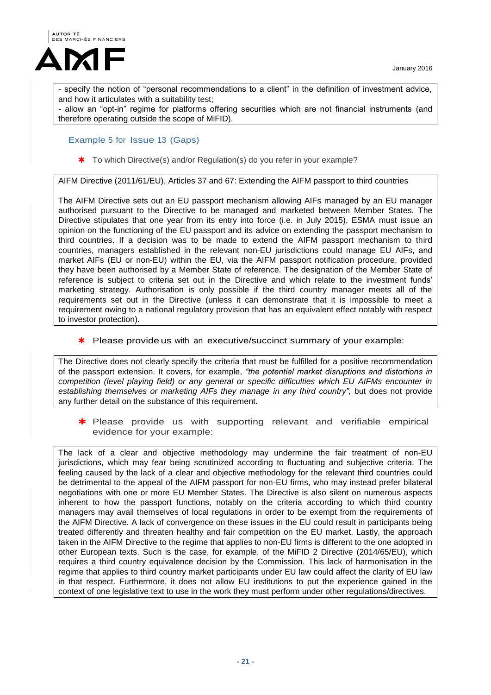

- specify the notion of "personal recommendations to a client" in the definition of investment advice, and how it articulates with a suitability test;

- allow an "opt-in" regime for platforms offering securities which are not financial instruments (and therefore operating outside the scope of MiFID).

## Example 5 for Issue 13 (Gaps)

\* To which Directive(s) and/or Regulation(s) do you refer in your example?

AIFM Directive (2011/61/EU), Articles 37 and 67: Extending the AIFM passport to third countries

The AIFM Directive sets out an EU passport mechanism allowing AIFs managed by an EU manager authorised pursuant to the Directive to be managed and marketed between Member States. The Directive stipulates that one year from its entry into force (i.e. in July 2015), ESMA must issue an opinion on the functioning of the EU passport and its advice on extending the passport mechanism to third countries. If a decision was to be made to extend the AIFM passport mechanism to third countries, managers established in the relevant non-EU jurisdictions could manage EU AIFs, and market AIFs (EU or non-EU) within the EU, via the AIFM passport notification procedure, provided they have been authorised by a Member State of reference. The designation of the Member State of reference is subject to criteria set out in the Directive and which relate to the investment funds' marketing strategy. Authorisation is only possible if the third country manager meets all of the requirements set out in the Directive (unless it can demonstrate that it is impossible to meet a requirement owing to a national regulatory provision that has an equivalent effect notably with respect to investor protection).

\* Please provide us with an executive/succinct summary of your example:

The Directive does not clearly specify the criteria that must be fulfilled for a positive recommendation of the passport extension. It covers, for example, *"the potential market disruptions and distortions in competition (level playing field) or any general or specific difficulties which EU AIFMs encounter in establishing themselves or marketing AIFs they manage in any third country",* but does not provide any further detail on the substance of this requirement.

\* Please provide us with supporting relevant and verifiable empirical evidence for your example:

The lack of a clear and objective methodology may undermine the fair treatment of non-EU jurisdictions, which may fear being scrutinized according to fluctuating and subjective criteria. The feeling caused by the lack of a clear and objective methodology for the relevant third countries could be detrimental to the appeal of the AIFM passport for non-EU firms, who may instead prefer bilateral negotiations with one or more EU Member States. The Directive is also silent on numerous aspects inherent to how the passport functions, notably on the criteria according to which third country managers may avail themselves of local regulations in order to be exempt from the requirements of the AIFM Directive. A lack of convergence on these issues in the EU could result in participants being treated differently and threaten healthy and fair competition on the EU market. Lastly, the approach taken in the AIFM Directive to the regime that applies to non-EU firms is different to the one adopted in other European texts. Such is the case, for example, of the MiFID 2 Directive (2014/65/EU), which requires a third country equivalence decision by the Commission. This lack of harmonisation in the regime that applies to third country market participants under EU law could affect the clarity of EU law in that respect. Furthermore, it does not allow EU institutions to put the experience gained in the context of one legislative text to use in the work they must perform under other regulations/directives.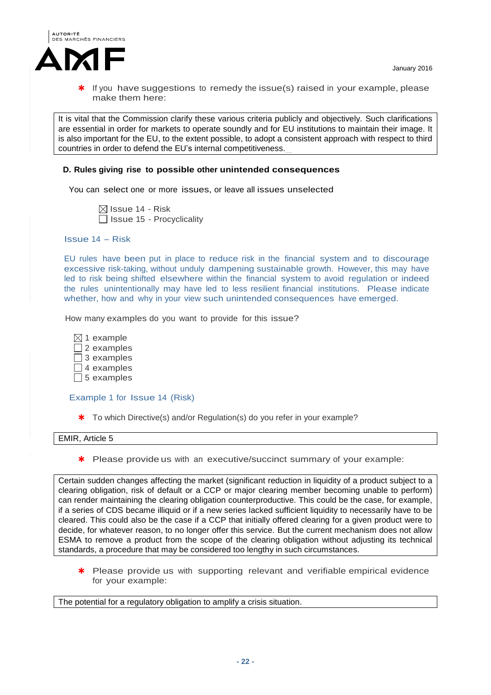

It is vital that the Commission clarify these various criteria publicly and objectively. Such clarifications are essential in order for markets to operate soundly and for EU institutions to maintain their image. It is also important for the EU, to the extent possible, to adopt a consistent approach with respect to third countries in order to defend the EU's internal competitiveness.

### **D. Rules giving rise to possible other unintended consequences**

You can select one or more issues, or leave all issues unselected

 $\boxtimes$  Issue 14 - Risk  $\Box$  Issue 15 - Procyclicality

Issue 14 – Risk

EU rules have been put in place to reduce risk in the financial system and to discourage excessive risk-taking, without unduly dampening sustainable growth. However, this may have led to risk being shifted elsewhere within the financial system to avoid regulation or indeed the rules unintentionally may have led to less resilient financial institutions. Please indicate whether, how and why in your view such unintended consequences have emerged.

How many examples do you want to provide for this issue?

 $\boxtimes$  1 example  $\Box$  2 examples  $\Box$  3 examples  $\Box$  4 examples  $\Box$  5 examples

#### Example 1 for Issue 14 (Risk)

\* To which Directive(s) and/or Regulation(s) do you refer in your example?

#### EMIR, Article 5

\* Please provide us with an executive/succinct summary of your example:

Certain sudden changes affecting the market (significant reduction in liquidity of a product subject to a clearing obligation, risk of default or a CCP or major clearing member becoming unable to perform) can render maintaining the clearing obligation counterproductive. This could be the case, for example, if a series of CDS became illiquid or if a new series lacked sufficient liquidity to necessarily have to be cleared. This could also be the case if a CCP that initially offered clearing for a given product were to decide, for whatever reason, to no longer offer this service. But the current mechanism does not allow ESMA to remove a product from the scope of the clearing obligation without adjusting its technical standards, a procedure that may be considered too lengthy in such circumstances.

\* Please provide us with supporting relevant and verifiable empirical evidence for your example:

The potential for a regulatory obligation to amplify a crisis situation.